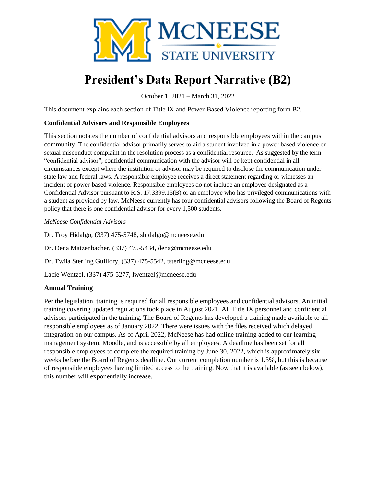

# **President's Data Report Narrative (B2)**

October 1, 2021 – March 31, 2022

This document explains each section of Title IX and Power-Based Violence reporting form B2.

## **Confidential Advisors and Responsible Employees**

This section notates the number of confidential advisors and responsible employees within the campus community. The confidential advisor primarily serves to aid a student involved in a power-based violence or sexual misconduct complaint in the resolution process as a confidential resource. As suggested by the term "confidential advisor", confidential communication with the advisor will be kept confidential in all circumstances except where the institution or advisor may be required to disclose the communication under state law and federal laws. A responsible employee receives a direct statement regarding or witnesses an incident of power-based violence. Responsible employees do not include an employee designated as a Confidential Advisor pursuant to R.S. 17:3399.15(B) or an employee who has privileged communications with a student as provided by law. McNeese currently has four confidential advisors following the Board of Regents policy that there is one confidential advisor for every 1,500 students.

*McNeese Confidential Advisors*

Dr. Troy Hidalgo, (337) 475-5748, shidalgo@mcneese.edu

Dr. Dena Matzenbacher, (337) 475-5434, dena@mcneese.edu

Dr. Twila Sterling Guillory, (337) 475-5542, tsterling@mcneese.edu

Lacie Wentzel, (337) 475-5277, lwentzel@mcneese.edu

#### **Annual Training**

Per the legislation, training is required for all responsible employees and confidential advisors. An initial training covering updated regulations took place in August 2021. All Title IX personnel and confidential advisors participated in the training. The Board of Regents has developed a training made available to all responsible employees as of January 2022. There were issues with the files received which delayed integration on our campus. As of April 2022, McNeese has had online training added to our learning management system, Moodle, and is accessible by all employees. A deadline has been set for all responsible employees to complete the required training by June 30, 2022, which is approximately six weeks before the Board of Regents deadline. Our current completion number is 1.3%, but this is because of responsible employees having limited access to the training. Now that it is available (as seen below), this number will exponentially increase.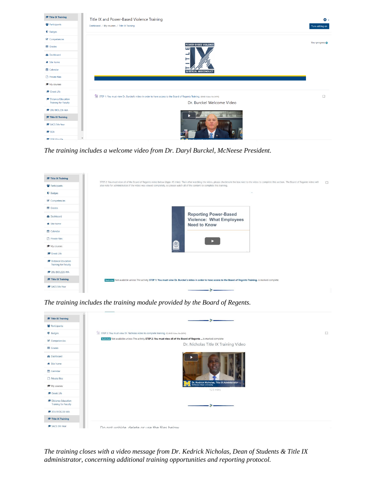

*The training includes a welcome video from Dr. Daryl Burckel, McNeese President.*



*The training includes the training module provided by the Board of Regents.*



*The training closes with a video message from Dr. Kedrick Nicholas, Dean of Students & Title IX administrator, concerning additional training opportunities and reporting protocol.*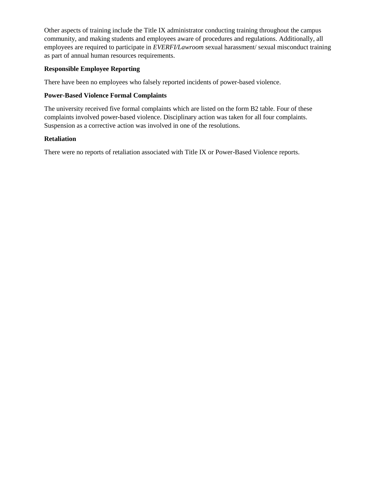Other aspects of training include the Title IX administrator conducting training throughout the campus community, and making students and employees aware of procedures and regulations. Additionally, all employees are required to participate in *EVERFI/Lawroom* sexual harassment/ sexual misconduct training as part of annual human resources requirements.

## **Responsible Employee Reporting**

There have been no employees who falsely reported incidents of power-based violence.

#### **Power-Based Violence Formal Complaints**

The university received five formal complaints which are listed on the form B2 table. Four of these complaints involved power-based violence. Disciplinary action was taken for all four complaints. Suspension as a corrective action was involved in one of the resolutions.

## **Retaliation**

There were no reports of retaliation associated with Title IX or Power-Based Violence reports.